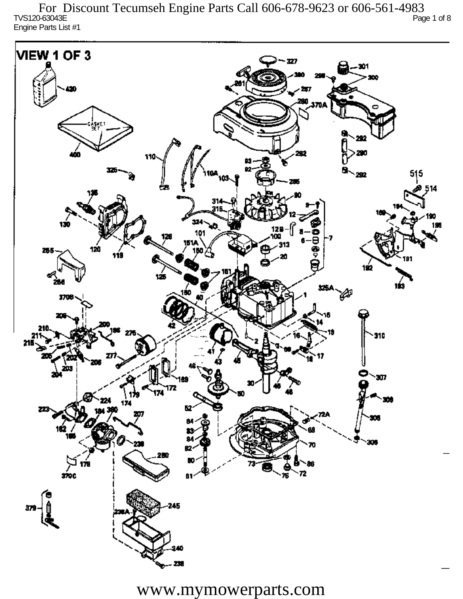TVS120-63043E Page 1 of 8 Engine Parts List #1 For Discount Tecumseh Engine Parts Call 606-678-9623 or 606-561-4983

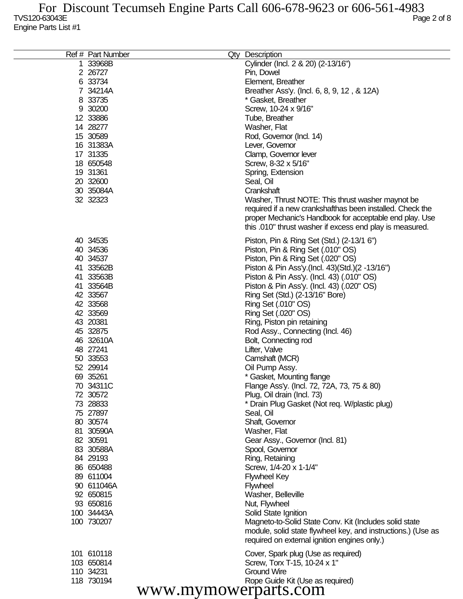| Ref # Part Number    | Qty Description                                              |
|----------------------|--------------------------------------------------------------|
| 1 33968B             | Cylinder (Incl. 2 & 20) (2-13/16")                           |
| 2 26727              | Pin, Dowel                                                   |
| 6 33734              | Element, Breather                                            |
| 7 34214A             |                                                              |
|                      | Breather Ass'y. (Incl. 6, 8, 9, 12, & 12A)                   |
| 8 33735              | * Gasket, Breather                                           |
| 9 30200              | Screw, 10-24 x 9/16"                                         |
| 12 33886             | Tube, Breather                                               |
| 14 28277             | Washer, Flat                                                 |
| 15 30589             | Rod, Governor (Incl. 14)                                     |
| 16 31383A            | Lever, Governor                                              |
| 17 31335             | Clamp, Governor lever                                        |
| 18 650548            | Screw, 8-32 x 5/16"                                          |
| 19 31361             | Spring, Extension                                            |
| 20 32600             | Seal, Oil                                                    |
| 30 35084A            | Crankshaft                                                   |
| 32 32323             | Washer, Thrust NOTE: This thrust washer maynot be            |
|                      | required if a new crankshafthas been installed. Check the    |
|                      | proper Mechanic's Handbook for acceptable end play. Use      |
|                      | this .010" thrust washer if excess end play is measured.     |
|                      |                                                              |
| 40 34535             | Piston, Pin & Ring Set (Std.) (2-13/1 6")                    |
| 40 34536             | Piston, Pin & Ring Set (.010" OS)                            |
| 40 34537             | Piston, Pin & Ring Set (.020" OS)                            |
| 41 33562B            | Piston & Pin Ass'y (Incl. 43) (Std.) (2 -13/16")             |
| 41 33563B            | Piston & Pin Ass'y. (Incl. 43) (.010" OS)                    |
| 41 33564B            | Piston & Pin Ass'y. (Incl. 43) (.020" OS)                    |
| 42 33567             | Ring Set (Std.) (2-13/16" Bore)                              |
| 42 33568             | Ring Set (.010" OS)                                          |
| 42 33569             | Ring Set (.020" OS)                                          |
| 43 20381             | Ring, Piston pin retaining                                   |
| 45 32875             | Rod Assy., Connecting (Incl. 46)                             |
| 46 32610A            | Bolt, Connecting rod                                         |
| 48 27241             | Lifter, Valve                                                |
|                      | Camshaft (MCR)                                               |
| 50 33553             |                                                              |
| 52 29914             | Oil Pump Assy.                                               |
| 69 35261             | * Gasket, Mounting flange                                    |
| 70 34311C            | Flange Ass'y. (Incl. 72, 72A, 73, 75 & 80)                   |
| 72 30572             | Plug, Oil drain (Incl. 73)                                   |
| 73 28833             | * Drain Plug Gasket (Not req. W/plastic plug)                |
| 75 27897             | Seal, Oil                                                    |
| 80 30574             | Shaft, Governor                                              |
| 81 30590A            | Washer, Flat                                                 |
| 82 30591             | Gear Assy., Governor (Incl. 81)                              |
| 83 30588A            | Spool, Governor                                              |
| 84 29193             | Ring, Retaining                                              |
| 86 650488            | Screw, 1/4-20 x 1-1/4"                                       |
| 89 611004            | <b>Flywheel Key</b>                                          |
| 90 611046A           | <b>Flywheel</b>                                              |
| 92 650815            | Washer, Belleville                                           |
| 93 650816            | Nut, Flywheel                                                |
| 100 34443A           | Solid State Ignition                                         |
| 100 730207           | Magneto-to-Solid State Conv. Kit (Includes solid state       |
|                      | module, solid state flywheel key, and instructions.) (Use as |
|                      | required on external ignition engines only.)                 |
| 101 610118           | Cover, Spark plug (Use as required)                          |
| 103 650814           | Screw, Torx T-15, 10-24 x 1"                                 |
| 110 34231            | <b>Ground Wire</b>                                           |
| 118 730194           | Rope Guide Kit (Use as required)                             |
|                      |                                                              |
| www.mymowerparts.com |                                                              |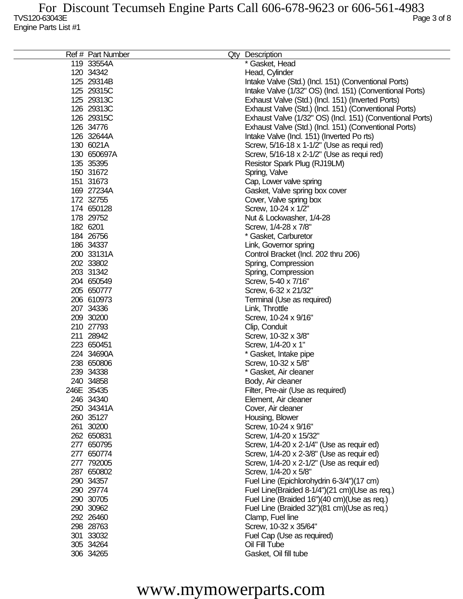| Ref # Part Number | Qty Description                                           |
|-------------------|-----------------------------------------------------------|
| 119 33554A        | * Gasket, Head                                            |
| 120 34342         | Head, Cylinder                                            |
| 125 29314B        | Intake Valve (Std.) (Incl. 151) (Conventional Ports)      |
| 125 29315C        | Intake Valve (1/32" OS) (Incl. 151) (Conventional Ports)  |
| 125 29313C        | Exhaust Valve (Std.) (Incl. 151) (Inverted Ports)         |
| 126 29313C        | Exhaust Valve (Std.) (Incl. 151) (Conventional Ports)     |
| 126 29315C        | Exhaust Valve (1/32" OS) (Incl. 151) (Conventional Ports) |
| 126 34776         | Exhaust Valve (Std.) (Incl. 151) (Conventional Ports)     |
| 126 32644A        | Intake Valve (Incl. 151) (Inverted Po rts)                |
| 130 6021A         | Screw, 5/16-18 x 1-1/2" (Use as requi red)                |
| 130 650697A       | Screw, 5/16-18 x 2-1/2" (Use as requi red)                |
| 135 35395         |                                                           |
| 150 31672         | Resistor Spark Plug (RJ19LM)                              |
|                   | Spring, Valve                                             |
| 151 31673         | Cap, Lower valve spring                                   |
| 169 27234A        | Gasket, Valve spring box cover                            |
| 172 32755         | Cover, Valve spring box                                   |
| 174 650128        | Screw, 10-24 x 1/2"                                       |
| 178 29752         | Nut & Lockwasher, 1/4-28                                  |
| 182 6201          | Screw, 1/4-28 x 7/8"                                      |
| 184 26756         | * Gasket, Carburetor                                      |
| 186 34337         | Link, Governor spring                                     |
| 200 33131A        | Control Bracket (Incl. 202 thru 206)                      |
| 202 33802         | Spring, Compression                                       |
| 203 31342         | Spring, Compression                                       |
| 204 650549        | Screw, 5-40 x 7/16"                                       |
| 205 650777        | Screw, 6-32 x 21/32"                                      |
| 206 610973        | Terminal (Use as required)                                |
| 207 34336         | Link, Throttle                                            |
| 209 30200         | Screw, 10-24 x 9/16"                                      |
| 210 27793         | Clip, Conduit                                             |
| 211 28942         | Screw, 10-32 x 3/8"                                       |
| 223 650451        | Screw, 1/4-20 x 1"                                        |
| 224 34690A        | * Gasket, Intake pipe                                     |
| 238 650806        | Screw, 10-32 x 5/8"                                       |
| 239 34338         | * Gasket, Air cleaner                                     |
| 240 34858         | Body, Air cleaner                                         |
| 246E 35435        | Filter, Pre-air (Use as required)                         |
| 246 34340         | Element, Air cleaner                                      |
| 250 34341A        | Cover, Air cleaner                                        |
| 260 35127         | Housing, Blower                                           |
| 261 30200         | Screw, 10-24 x 9/16"                                      |
| 262 650831        | Screw, 1/4-20 x 15/32"                                    |
| 277 650795        | Screw, 1/4-20 x 2-1/4" (Use as requir ed)                 |
| 277 650774        | Screw, 1/4-20 x 2-3/8" (Use as requir ed)                 |
| 277 792005        | Screw, 1/4-20 x 2-1/2" (Use as requir ed)                 |
| 287 650802        | Screw, 1/4-20 x 5/8"                                      |
| 290 34357         | Fuel Line (Epichlorohydrin 6-3/4")(17 cm)                 |
| 290 29774         | Fuel Line(Braided 8-1/4")(21 cm)(Use as req.)             |
| 290 30705         |                                                           |
| 290 30962         | Fuel Line (Braided 16")(40 cm)(Use as req.)               |
|                   | Fuel Line (Braided 32")(81 cm)(Use as req.)               |
| 292 26460         | Clamp, Fuel line                                          |
| 298 28763         | Screw, 10-32 x 35/64"                                     |
| 301 33032         | Fuel Cap (Use as required)                                |
| 305 34264         | Oil Fill Tube                                             |
| 306 34265         | Gasket, Oil fill tube                                     |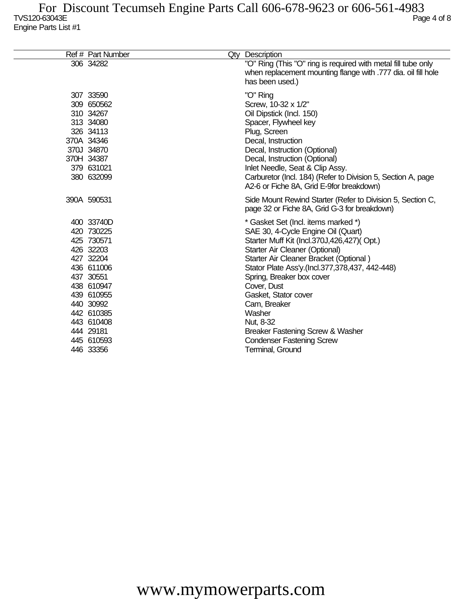| Ref # Part Number                                                                                                                                                                                        | Qty Description                                                                                                                                                                                                                                                                                                                                                                                                                                                     |
|----------------------------------------------------------------------------------------------------------------------------------------------------------------------------------------------------------|---------------------------------------------------------------------------------------------------------------------------------------------------------------------------------------------------------------------------------------------------------------------------------------------------------------------------------------------------------------------------------------------------------------------------------------------------------------------|
| 306 34282                                                                                                                                                                                                | "O" Ring (This "O" ring is required with metal fill tube only<br>when replacement mounting flange with .777 dia. oil fill hole<br>has been used.)                                                                                                                                                                                                                                                                                                                   |
| 307 33590<br>309 650562<br>310 34267<br>313 34080<br>326 34113<br>370A 34346<br>370J 34870<br>370H 34387<br>379 631021<br>380 632099                                                                     | "O" Ring<br>Screw, 10-32 x 1/2"<br>Oil Dipstick (Incl. 150)<br>Spacer, Flywheel key<br>Plug, Screen<br>Decal, Instruction<br>Decal, Instruction (Optional)<br>Decal, Instruction (Optional)<br>Inlet Needle, Seat & Clip Assy.<br>Carburetor (Incl. 184) (Refer to Division 5, Section A, page<br>A2-6 or Fiche 8A, Grid E-9for breakdown)                                                                                                                          |
| 390A 590531                                                                                                                                                                                              | Side Mount Rewind Starter (Refer to Division 5, Section C,<br>page 32 or Fiche 8A, Grid G-3 for breakdown)                                                                                                                                                                                                                                                                                                                                                          |
| 400 33740D<br>420 730225<br>425 730571<br>426 32203<br>427 32204<br>436 611006<br>437 30551<br>438 610947<br>439 610955<br>440 30992<br>442 610385<br>443 610408<br>444 29181<br>445 610593<br>446 33356 | * Gasket Set (Incl. items marked *)<br>SAE 30, 4-Cycle Engine Oil (Quart)<br>Starter Muff Kit (Incl.370J,426,427)(Opt.)<br>Starter Air Cleaner (Optional)<br>Starter Air Cleaner Bracket (Optional)<br>Stator Plate Ass'y.(Incl.377,378,437, 442-448)<br>Spring, Breaker box cover<br>Cover, Dust<br>Gasket, Stator cover<br>Cam, Breaker<br>Washer<br>Nut, 8-32<br>Breaker Fastening Screw & Washer<br><b>Condenser Fastening Screw</b><br><b>Terminal, Ground</b> |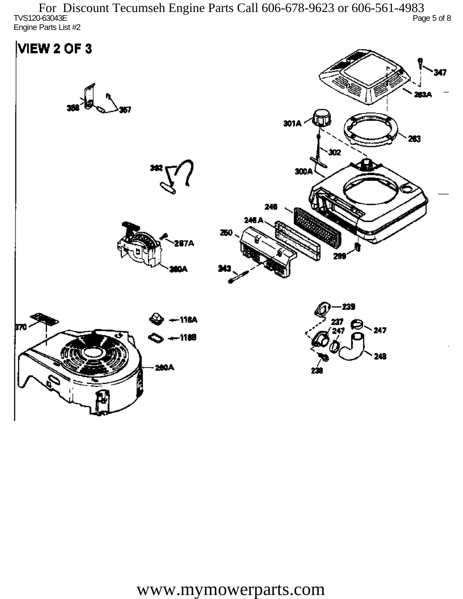TVS120-63043E Page 5 of 8 Engine Parts List #2 For Discount Tecumseh Engine Parts Call 606-678-9623 or 606-561-4983

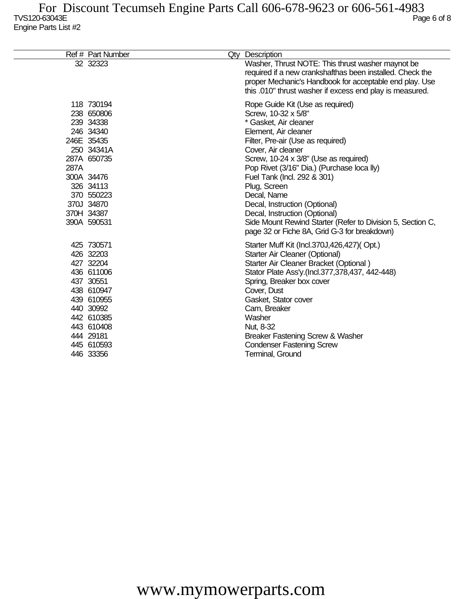|      | Ref # Part Number                                                                                                                                                                 | Qty Description                                                                                                                                                                                                                                                                                                                                                                                                                                                                                          |
|------|-----------------------------------------------------------------------------------------------------------------------------------------------------------------------------------|----------------------------------------------------------------------------------------------------------------------------------------------------------------------------------------------------------------------------------------------------------------------------------------------------------------------------------------------------------------------------------------------------------------------------------------------------------------------------------------------------------|
|      | 32 32323                                                                                                                                                                          | Washer, Thrust NOTE: This thrust washer maynot be<br>required if a new crankshafthas been installed. Check the<br>proper Mechanic's Handbook for acceptable end play. Use<br>this .010" thrust washer if excess end play is measured.                                                                                                                                                                                                                                                                    |
| 287A | 118 730194<br>238 650806<br>239 34338<br>246 34340<br>246E 35435<br>250 34341A<br>287A 650735<br>300A 34476<br>326 34113<br>370 550223<br>370J 34870<br>370H 34387<br>390A 590531 | Rope Guide Kit (Use as required)<br>Screw, 10-32 x 5/8"<br>* Gasket, Air cleaner<br>Element, Air cleaner<br>Filter, Pre-air (Use as required)<br>Cover, Air cleaner<br>Screw, 10-24 x 3/8" (Use as required)<br>Pop Rivet (3/16" Dia.) (Purchase loca lly)<br>Fuel Tank (Incl. 292 & 301)<br>Plug, Screen<br>Decal, Name<br>Decal, Instruction (Optional)<br>Decal, Instruction (Optional)<br>Side Mount Rewind Starter (Refer to Division 5, Section C,<br>page 32 or Fiche 8A, Grid G-3 for breakdown) |
|      | 425 730571<br>426 32203<br>427 32204<br>436 611006<br>437 30551<br>438 610947<br>439 610955<br>440 30992<br>442 610385<br>443 610408<br>444 29181<br>445 610593<br>446 33356      | Starter Muff Kit (Incl.370J,426,427)(Opt.)<br>Starter Air Cleaner (Optional)<br>Starter Air Cleaner Bracket (Optional)<br>Stator Plate Ass'y.(Incl.377,378,437, 442-448)<br>Spring, Breaker box cover<br>Cover, Dust<br>Gasket, Stator cover<br>Cam, Breaker<br>Washer<br>Nut, 8-32<br>Breaker Fastening Screw & Washer<br><b>Condenser Fastening Screw</b><br>Terminal, Ground                                                                                                                          |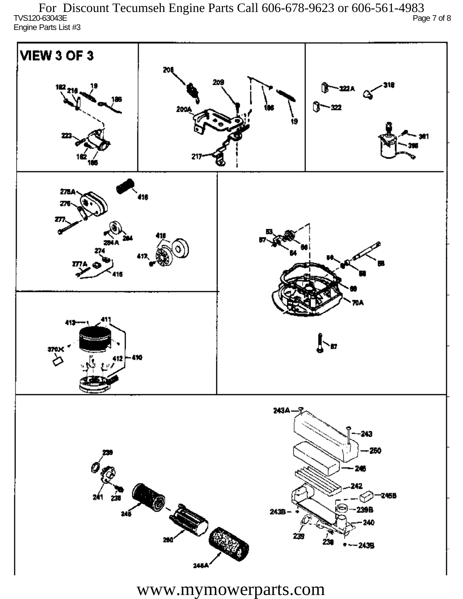TVS120-63043E Page 7 of 8 Engine Parts List #3 For Discount Tecumseh Engine Parts Call 606-678-9623 or 606-561-4983